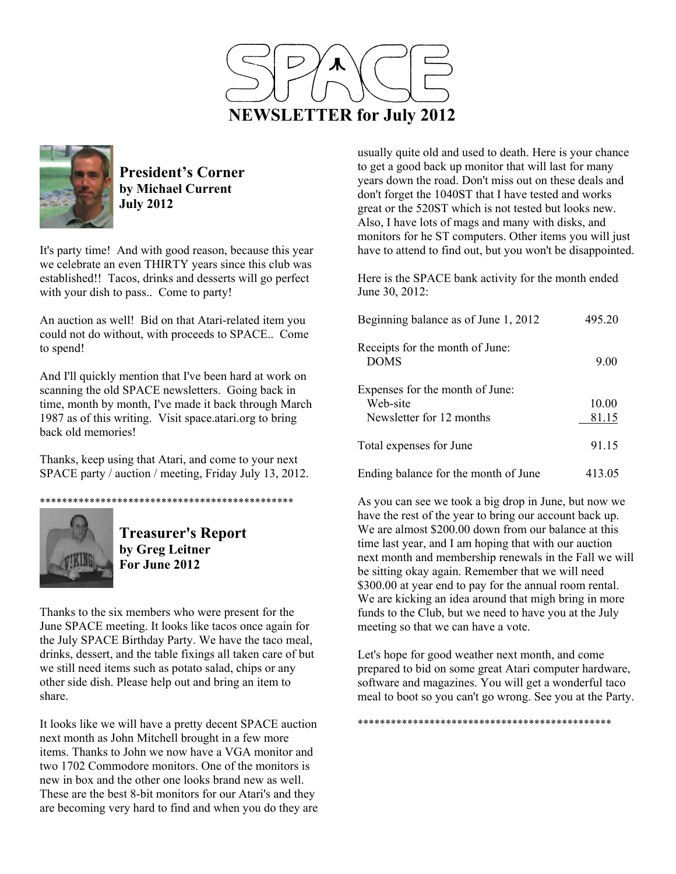



**President's Corner by Michael Current July 2012**

It's party time! And with good reason, because this year we celebrate an even THIRTY years since this club was established!! Tacos, drinks and desserts will go perfect with your dish to pass.. Come to party!

An auction as well! Bid on that Atari-related item you could not do without, with proceeds to SPACE.. Come to spend!

And I'll quickly mention that I've been hard at work on scanning the old SPACE newsletters. Going back in time, month by month, I've made it back through March 1987 as of this writing. Visit space.atari.org to bring back old memories!

Thanks, keep using that Atari, and come to your next SPACE party / auction / meeting, Friday July 13, 2012.

\*\*\*\*\*\*\*\*\*\*\*\*\*\*\*\*\*\*\*\*\*\*\*\*\*\*\*\*\*\*\*\*\*\*\*\*\*\*\*\*\*\*\*\*\*\*



**Treasurer's Report by Greg Leitner For June 2012** 

Thanks to the six members who were present for the June SPACE meeting. It looks like tacos once again for the July SPACE Birthday Party. We have the taco meal, drinks, dessert, and the table fixings all taken care of but we still need items such as potato salad, chips or any other side dish. Please help out and bring an item to share.

It looks like we will have a pretty decent SPACE auction next month as John Mitchell brought in a few more items. Thanks to John we now have a VGA monitor and two 1702 Commodore monitors. One of the monitors is new in box and the other one looks brand new as well. These are the best 8-bit monitors for our Atari's and they are becoming very hard to find and when you do they are

usually quite old and used to death. Here is your chance to get a good back up monitor that will last for many years down the road. Don't miss out on these deals and don't forget the 1040ST that I have tested and works great or the 520ST which is not tested but looks new. Also, I have lots of mags and many with disks, and monitors for he ST computers. Other items you will just have to attend to find out, but you won't be disappointed.

Here is the SPACE bank activity for the month ended June 30, 2012:

| Beginning balance as of June 1, 2012           | 495.20 |
|------------------------------------------------|--------|
| Receipts for the month of June:<br><b>DOMS</b> | 9.00   |
| Expenses for the month of June:<br>Web-site    | 10.00  |
| Newsletter for 12 months                       | 81.15  |
| Total expenses for June                        | 91.15  |
| Ending balance for the month of June           | 413.05 |

As you can see we took a big drop in June, but now we have the rest of the year to bring our account back up. We are almost \$200.00 down from our balance at this time last year, and I am hoping that with our auction next month and membership renewals in the Fall we will be sitting okay again. Remember that we will need \$300.00 at year end to pay for the annual room rental. We are kicking an idea around that migh bring in more funds to the Club, but we need to have you at the July meeting so that we can have a vote.

Let's hope for good weather next month, and come prepared to bid on some great Atari computer hardware, software and magazines. You will get a wonderful taco meal to boot so you can't go wrong. See you at the Party.

\*\*\*\*\*\*\*\*\*\*\*\*\*\*\*\*\*\*\*\*\*\*\*\*\*\*\*\*\*\*\*\*\*\*\*\*\*\*\*\*\*\*\*\*\*\*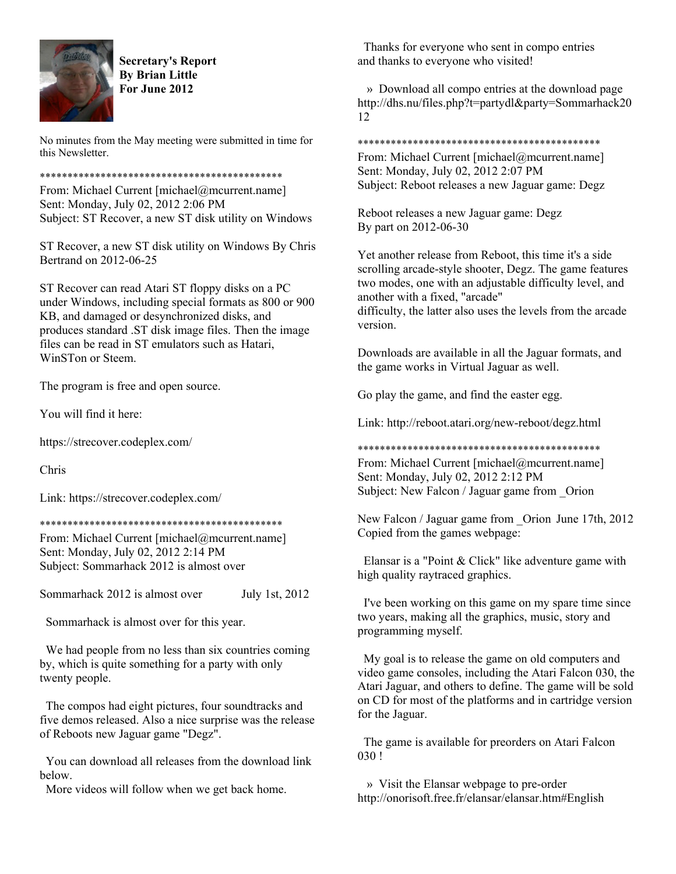

**Secretary's Report By Brian Little For June 2012** 

No minutes from the May meeting were submitted in time for this Newsletter.

\*\*\*\*\*\*\*\*\*\*\*\*\*\*\*\*\*\*\*\*\*\*\*\*\*\*\*\*\*\*\*\*\*\*\*\*\*\*\*\*\*\*\*\*

From: Michael Current [michael@mcurrent.name] Sent: Monday, July 02, 2012 2:06 PM Subject: ST Recover, a new ST disk utility on Windows

ST Recover, a new ST disk utility on Windows By Chris Bertrand on 2012-06-25

ST Recover can read Atari ST floppy disks on a PC under Windows, including special formats as 800 or 900 KB, and damaged or desynchronized disks, and produces standard .ST disk image files. Then the image files can be read in ST emulators such as Hatari, WinSTon or Steem.

The program is free and open source.

You will find it here:

https://strecover.codeplex.com/

Chris

Link: https://strecover.codeplex.com/

\*\*\*\*\*\*\*\*\*\*\*\*\*\*\*\*\*\*\*\*\*\*\*\*\*\*\*\*\*\*\*\*\*\*\*\*\*\*\*\*\*\*\*\*

From: Michael Current [michael@mcurrent.name] Sent: Monday, July 02, 2012 2:14 PM Subject: Sommarhack 2012 is almost over

Sommarhack 2012 is almost over July 1st, 2012

Sommarhack is almost over for this year.

 We had people from no less than six countries coming by, which is quite something for a party with only twenty people.

 The compos had eight pictures, four soundtracks and five demos released. Also a nice surprise was the release of Reboots new Jaguar game "Degz".

 You can download all releases from the download link below.

More videos will follow when we get back home.

 Thanks for everyone who sent in compo entries and thanks to everyone who visited!

 » Download all compo entries at the download page http://dhs.nu/files.php?t=partydl&party=Sommarhack20 12

\*\*\*\*\*\*\*\*\*\*\*\*\*\*\*\*\*\*\*\*\*\*\*\*\*\*\*\*\*\*\*\*\*\*\*\*\*\*\*\*\*\*\*\*

From: Michael Current [michael@mcurrent.name] Sent: Monday, July 02, 2012 2:07 PM Subject: Reboot releases a new Jaguar game: Degz

Reboot releases a new Jaguar game: Degz By part on 2012-06-30

Yet another release from Reboot, this time it's a side scrolling arcade-style shooter, Degz. The game features two modes, one with an adjustable difficulty level, and another with a fixed, "arcade"

difficulty, the latter also uses the levels from the arcade version.

Downloads are available in all the Jaguar formats, and the game works in Virtual Jaguar as well.

Go play the game, and find the easter egg.

Link: http://reboot.atari.org/new-reboot/degz.html

\*\*\*\*\*\*\*\*\*\*\*\*\*\*\*\*\*\*\*\*\*\*\*\*\*\*\*\*\*\*\*\*\*\*\*\*\*\*\*\*\*\*\*\*

From: Michael Current [michael@mcurrent.name] Sent: Monday, July 02, 2012 2:12 PM Subject: New Falcon / Jaguar game from Orion

New Falcon / Jaguar game from Orion June 17th, 2012 Copied from the games webpage:

 Elansar is a "Point & Click" like adventure game with high quality raytraced graphics.

 I've been working on this game on my spare time since two years, making all the graphics, music, story and programming myself.

 My goal is to release the game on old computers and video game consoles, including the Atari Falcon 030, the Atari Jaguar, and others to define. The game will be sold on CD for most of the platforms and in cartridge version for the Jaguar.

 The game is available for preorders on Atari Falcon 030 !

 » Visit the Elansar webpage to pre-order http://onorisoft.free.fr/elansar/elansar.htm#English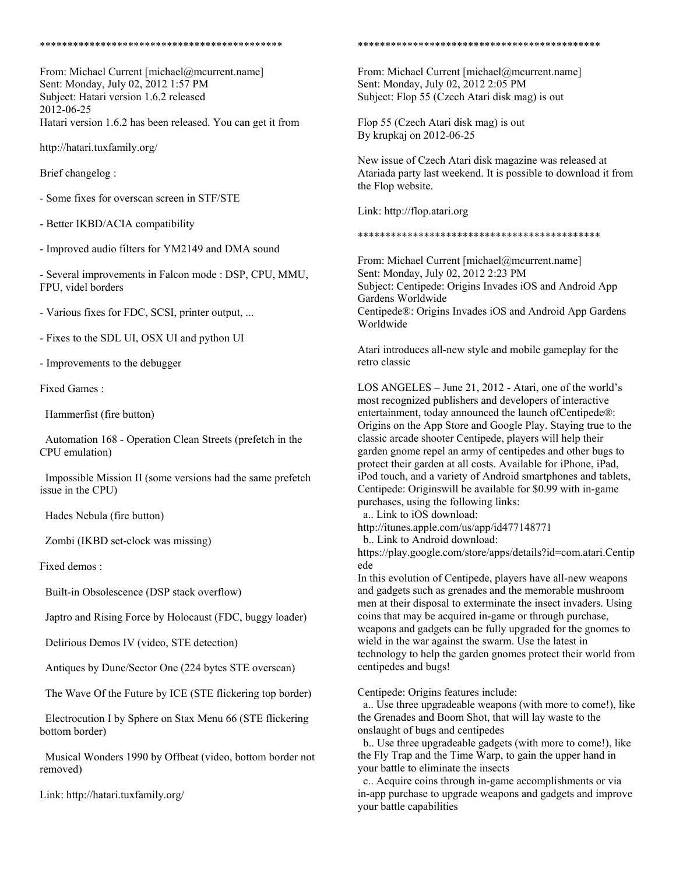#### \*\*\*\*\*\*\*\*\*\*\*\*\*\*\*\*\*\*\*\*\*\*\*\*\*\*\*\*\*\*\*\*\*\*\*\*\*\*\*\*\*\*\*\*

From: Michael Current [michael@mcurrent.name] Sent: Monday, July 02, 2012 1:57 PM Subject: Hatari version 1.6.2 released 2012-06-25 Hatari version 1.6.2 has been released. You can get it from

http://hatari.tuxfamily.org/

Brief changelog :

- Some fixes for overscan screen in STF/STE

- Better IKBD/ACIA compatibility

- Improved audio filters for YM2149 and DMA sound

- Several improvements in Falcon mode : DSP, CPU, MMU, FPU, videl borders

- Various fixes for FDC, SCSI, printer output, ...

- Fixes to the SDL UI, OSX UI and python UI

- Improvements to the debugger

Fixed Games :

Hammerfist (fire button)

 Automation 168 - Operation Clean Streets (prefetch in the CPU emulation)

 Impossible Mission II (some versions had the same prefetch issue in the CPU)

Hades Nebula (fire button)

Zombi (IKBD set-clock was missing)

Fixed demos :

Built-in Obsolescence (DSP stack overflow)

Japtro and Rising Force by Holocaust (FDC, buggy loader)

Delirious Demos IV (video, STE detection)

Antiques by Dune/Sector One (224 bytes STE overscan)

The Wave Of the Future by ICE (STE flickering top border)

 Electrocution I by Sphere on Stax Menu 66 (STE flickering bottom border)

 Musical Wonders 1990 by Offbeat (video, bottom border not removed)

Link: http://hatari.tuxfamily.org/

### \*\*\*\*\*\*\*\*\*\*\*\*\*\*\*\*\*\*\*\*\*\*\*\*\*\*\*\*\*\*\*\*\*\*\*\*\*\*\*\*\*\*\*\*

From: Michael Current [michael@mcurrent.name] Sent: Monday, July 02, 2012 2:05 PM Subject: Flop 55 (Czech Atari disk mag) is out

Flop 55 (Czech Atari disk mag) is out By krupkaj on 2012-06-25

New issue of Czech Atari disk magazine was released at Atariada party last weekend. It is possible to download it from the Flop website.

Link: http://flop.atari.org

## \*\*\*\*\*\*\*\*\*\*\*\*\*\*\*\*\*\*\*\*\*\*\*\*\*\*\*\*\*\*\*\*\*\*\*\*\*\*\*\*\*\*\*\*

From: Michael Current [michael@mcurrent.name] Sent: Monday, July 02, 2012 2:23 PM Subject: Centipede: Origins Invades iOS and Android App Gardens Worldwide Centipede®: Origins Invades iOS and Android App Gardens Worldwide

Atari introduces all-new style and mobile gameplay for the retro classic

LOS ANGELES – June 21, 2012 - Atari, one of the world's most recognized publishers and developers of interactive entertainment, today announced the launch ofCentipede®: Origins on the App Store and Google Play. Staying true to the classic arcade shooter Centipede, players will help their garden gnome repel an army of centipedes and other bugs to protect their garden at all costs. Available for iPhone, iPad, iPod touch, and a variety of Android smartphones and tablets, Centipede: Originswill be available for \$0.99 with in-game purchases, using the following links:

a.. Link to iOS download:

http://itunes.apple.com/us/app/id477148771

b.. Link to Android download:

https://play.google.com/store/apps/details?id=com.atari.Centip ede

In this evolution of Centipede, players have all-new weapons and gadgets such as grenades and the memorable mushroom men at their disposal to exterminate the insect invaders. Using coins that may be acquired in-game or through purchase, weapons and gadgets can be fully upgraded for the gnomes to wield in the war against the swarm. Use the latest in technology to help the garden gnomes protect their world from centipedes and bugs!

Centipede: Origins features include:

 a.. Use three upgradeable weapons (with more to come!), like the Grenades and Boom Shot, that will lay waste to the onslaught of bugs and centipedes

 b.. Use three upgradeable gadgets (with more to come!), like the Fly Trap and the Time Warp, to gain the upper hand in your battle to eliminate the insects

 c.. Acquire coins through in-game accomplishments or via in-app purchase to upgrade weapons and gadgets and improve your battle capabilities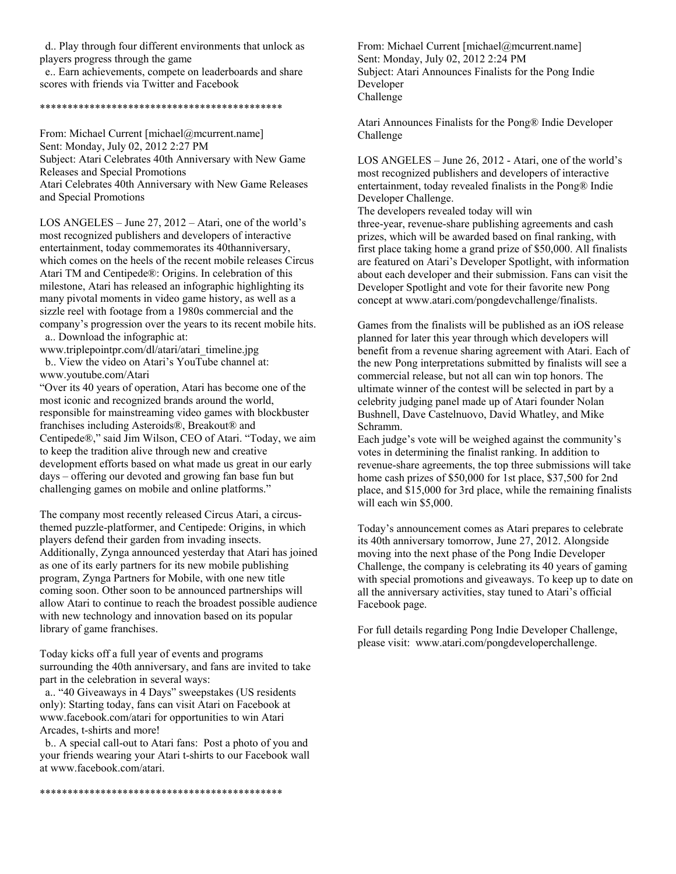d.. Play through four different environments that unlock as players progress through the game

 e.. Earn achievements, compete on leaderboards and share scores with friends via Twitter and Facebook

# \*\*\*\*\*\*\*\*\*\*\*\*\*\*\*\*\*\*\*\*\*\*\*\*\*\*\*\*\*\*\*\*\*\*\*\*\*\*\*\*\*\*\*\*

From: Michael Current [michael@mcurrent.name] Sent: Monday, July 02, 2012 2:27 PM Subject: Atari Celebrates 40th Anniversary with New Game Releases and Special Promotions Atari Celebrates 40th Anniversary with New Game Releases and Special Promotions

LOS ANGELES – June 27, 2012 – Atari, one of the world's most recognized publishers and developers of interactive entertainment, today commemorates its 40thanniversary, which comes on the heels of the recent mobile releases Circus Atari TM and Centipede®: Origins. In celebration of this milestone, Atari has released an infographic highlighting its many pivotal moments in video game history, as well as a sizzle reel with footage from a 1980s commercial and the company's progression over the years to its recent mobile hits. a.. Download the infographic at:

www.triplepointpr.com/dl/atari/atari\_timeline.jpg b.. View the video on Atari's YouTube channel at: www.youtube.com/Atari

"Over its 40 years of operation, Atari has become one of the most iconic and recognized brands around the world, responsible for mainstreaming video games with blockbuster franchises including Asteroids®, Breakout® and Centipede®," said Jim Wilson, CEO of Atari. "Today, we aim to keep the tradition alive through new and creative development efforts based on what made us great in our early days – offering our devoted and growing fan base fun but challenging games on mobile and online platforms."

The company most recently released Circus Atari, a circusthemed puzzle-platformer, and Centipede: Origins, in which players defend their garden from invading insects. Additionally, Zynga announced yesterday that Atari has joined as one of its early partners for its new mobile publishing program, Zynga Partners for Mobile, with one new title coming soon. Other soon to be announced partnerships will allow Atari to continue to reach the broadest possible audience with new technology and innovation based on its popular library of game franchises.

Today kicks off a full year of events and programs surrounding the 40th anniversary, and fans are invited to take part in the celebration in several ways:

 a.. "40 Giveaways in 4 Days" sweepstakes (US residents only): Starting today, fans can visit Atari on Facebook at www.facebook.com/atari for opportunities to win Atari Arcades, t-shirts and more!

 b.. A special call-out to Atari fans: Post a photo of you and your friends wearing your Atari t-shirts to our Facebook wall at www.facebook.com/atari.

From: Michael Current [michael@mcurrent.name] Sent: Monday, July 02, 2012 2:24 PM Subject: Atari Announces Finalists for the Pong Indie Developer Challenge

Atari Announces Finalists for the Pong® Indie Developer Challenge

LOS ANGELES – June 26, 2012 - Atari, one of the world's most recognized publishers and developers of interactive entertainment, today revealed finalists in the Pong® Indie Developer Challenge.

The developers revealed today will win three-year, revenue-share publishing agreements and cash prizes, which will be awarded based on final ranking, with first place taking home a grand prize of \$50,000. All finalists are featured on Atari's Developer Spotlight, with information about each developer and their submission. Fans can visit the Developer Spotlight and vote for their favorite new Pong concept at www.atari.com/pongdevchallenge/finalists.

Games from the finalists will be published as an iOS release planned for later this year through which developers will benefit from a revenue sharing agreement with Atari. Each of the new Pong interpretations submitted by finalists will see a commercial release, but not all can win top honors. The ultimate winner of the contest will be selected in part by a celebrity judging panel made up of Atari founder Nolan Bushnell, Dave Castelnuovo, David Whatley, and Mike Schramm.

Each judge's vote will be weighed against the community's votes in determining the finalist ranking. In addition to revenue-share agreements, the top three submissions will take home cash prizes of \$50,000 for 1st place, \$37,500 for 2nd place, and \$15,000 for 3rd place, while the remaining finalists will each win \$5,000.

Today's announcement comes as Atari prepares to celebrate its 40th anniversary tomorrow, June 27, 2012. Alongside moving into the next phase of the Pong Indie Developer Challenge, the company is celebrating its 40 years of gaming with special promotions and giveaways. To keep up to date on all the anniversary activities, stay tuned to Atari's official Facebook page.

For full details regarding Pong Indie Developer Challenge, please visit: www.atari.com/pongdeveloperchallenge.

\*\*\*\*\*\*\*\*\*\*\*\*\*\*\*\*\*\*\*\*\*\*\*\*\*\*\*\*\*\*\*\*\*\*\*\*\*\*